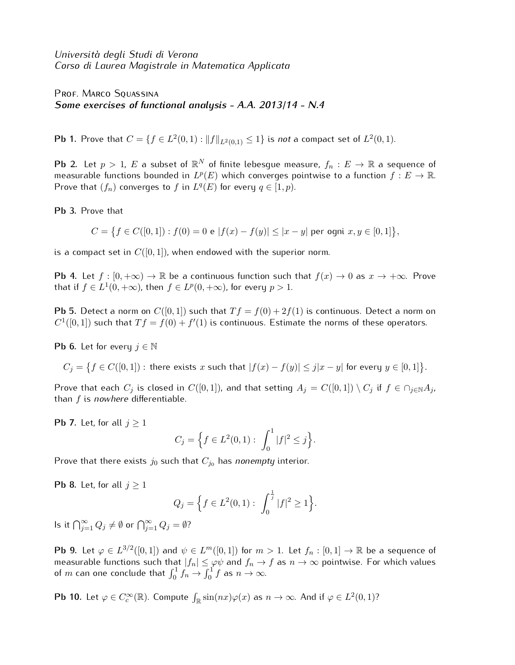*Universit`a degli Studi di Verona Corso di Laurea Magistrale in Matematica Applicata*

PROF. MARCO SQUASSINA *Some exercises of functional analysis - A.A. 2013/14 - N.4*

**Pb 1.** Prove that  $C = \{f \in L^2(0,1) : \|f\|_{L^2(0,1)} \le 1\}$  is *not* a compact set of  $L^2(0,1)$ .

**Pb** 2. Let  $p>1$ ,  $E$  a subset of  $\mathbb{R}^N$  of finite lebesgue measure,  $f_n:E\rightarrow \mathbb{R}$  a sequence of measurable functions bounded in  $L^p(E)$  which converges pointwise to a function  $f: E \to \mathbb{R}$ . Prove that  $(f_n)$  converges to  $f$  in  $L^q(E)$  for every  $q \in [1, p)$ .

**Pb 3.** Prove that

$$
C = \{ f \in C([0,1]) : f(0) = 0 \text{ e } |f(x) - f(y)| \le |x - y| \text{ per ogni } x, y \in [0,1] \},\
$$

is a compact set in  $C([0, 1])$ , when endowed with the superior norm.

**Pb 4.** Let  $f : [0, +\infty) \to \mathbb{R}$  be a continuous function such that  $f(x) \to 0$  as  $x \to +\infty$ . Prove that if  $f \in L^1(0, +\infty)$ , then  $f \in L^p(0, +\infty)$ , for every  $p > 1$ .

**Pb 5.** Detect a norm on  $C([0,1])$  such that  $Tf = f(0) + 2f(1)$  is continuous. Detect a norm on  $C^1([0,1])$  such that  $Tf = f(0) + f'(1)$  is continuous. Estimate the norms of these operators.

**Pb 6.** Let for every  $j \in \mathbb{N}$ 

 $C_j = \big\{ f \in C([0,1]) : \text{there exists } x \text{ such that } |f(x) - f(y)| \leq j|x-y| \text{ for every } y \in [0,1] \big\}.$ 

Prove that each  $C_j$  is closed in  $C([0,1])$ , and that setting  $A_j = C([0,1]) \setminus C_j$  if  $f \in \bigcap_{j \in \mathbb{N}} A_j$ , than *f* is *nowhere* differentiable.

**Pb 7.** Let, for all  $j \geq 1$ 

$$
C_j = \left\{ f \in L^2(0,1) : \int_0^1 |f|^2 \le j \right\}.
$$

Prove that there exists  $j_0$  such that  $C_{j_0}$  has *nonempty* interior.

**Pb 8.** Let, for all  $j \geq 1$ 

$$
Q_j = \Big\{ f \in L^2(0,1): \int_0^{\frac{1}{j}} |f|^2 \ge 1 \Big\}.
$$

 $\mathsf{I}$ s it  $\bigcap_{j=1}^{\infty} Q_j \neq \emptyset$  or  $\bigcap_{j=1}^{\infty} Q_j = \emptyset$ ?

**Pb 9.** Let  $\varphi \in L^{3/2}([0,1])$  and  $\psi \in L^m([0,1])$  for  $m>1$ . Let  $f_n:[0,1] \to \mathbb{R}$  be a sequence of measurable functions such that  $|f_n|\leq \varphi \psi$  and  $f_n\to f$  as  $n\to\infty$  pointwise. For which values of  $m$  can one conclude that  $\int_0^1 f_n \to \int_0^1 f$  as  $n \to \infty$ .

**Pb 10.** Let  $\varphi \in C_c^{\infty}(\mathbb{R})$ . Compute  $\int_{\mathbb{R}} \sin(nx) \varphi(x)$  as  $n \to \infty$ . And if  $\varphi \in L^2(0,1)$ ?